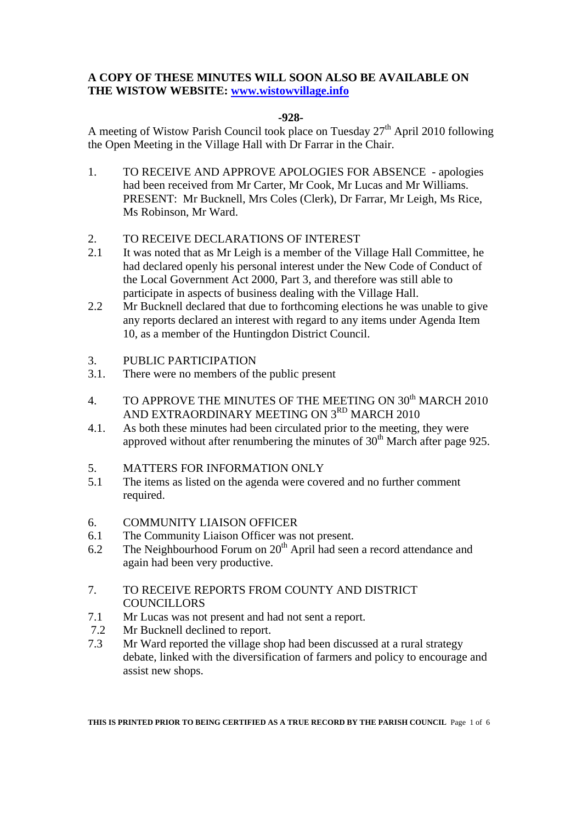# **A COPY OF THESE MINUTES WILL SOON ALSO BE AVAILABLE ON THE WISTOW WEBSITE: www.wistowvillage.info**

#### **-928-**

A meeting of Wistow Parish Council took place on Tuesday  $27<sup>th</sup>$  April 2010 following the Open Meeting in the Village Hall with Dr Farrar in the Chair.

- 1. TO RECEIVE AND APPROVE APOLOGIES FOR ABSENCE apologies had been received from Mr Carter, Mr Cook, Mr Lucas and Mr Williams. PRESENT: Mr Bucknell, Mrs Coles (Clerk), Dr Farrar, Mr Leigh, Ms Rice, Ms Robinson, Mr Ward.
- 2. TO RECEIVE DECLARATIONS OF INTEREST
- 2.1 It was noted that as Mr Leigh is a member of the Village Hall Committee, he had declared openly his personal interest under the New Code of Conduct of the Local Government Act 2000, Part 3, and therefore was still able to participate in aspects of business dealing with the Village Hall.
- 2.2 Mr Bucknell declared that due to forthcoming elections he was unable to give any reports declared an interest with regard to any items under Agenda Item 10, as a member of the Huntingdon District Council.
- 3. PUBLIC PARTICIPATION
- 3.1. There were no members of the public present
- 4. TO APPROVE THE MINUTES OF THE MEETING ON 30<sup>th</sup> MARCH 2010 AND EXTRAORDINARY MEETING ON 3<sup>RD</sup> MARCH 2010
- 4.1. As both these minutes had been circulated prior to the meeting, they were approved without after renumbering the minutes of  $30<sup>th</sup>$  March after page 925.
- 5. MATTERS FOR INFORMATION ONLY
- 5.1 The items as listed on the agenda were covered and no further comment required.
- 6. COMMUNITY LIAISON OFFICER
- 6.1 The Community Liaison Officer was not present.
- 6.2 The Neighbourhood Forum on  $20<sup>th</sup>$  April had seen a record attendance and again had been very productive.
- 7. TO RECEIVE REPORTS FROM COUNTY AND DISTRICT **COUNCILLORS**
- 7.1 Mr Lucas was not present and had not sent a report.
- 7.2 Mr Bucknell declined to report.
- 7.3 Mr Ward reported the village shop had been discussed at a rural strategy debate, linked with the diversification of farmers and policy to encourage and assist new shops.

**THIS IS PRINTED PRIOR TO BEING CERTIFIED AS A TRUE RECORD BY THE PARISH COUNCIL** Page 1 of 6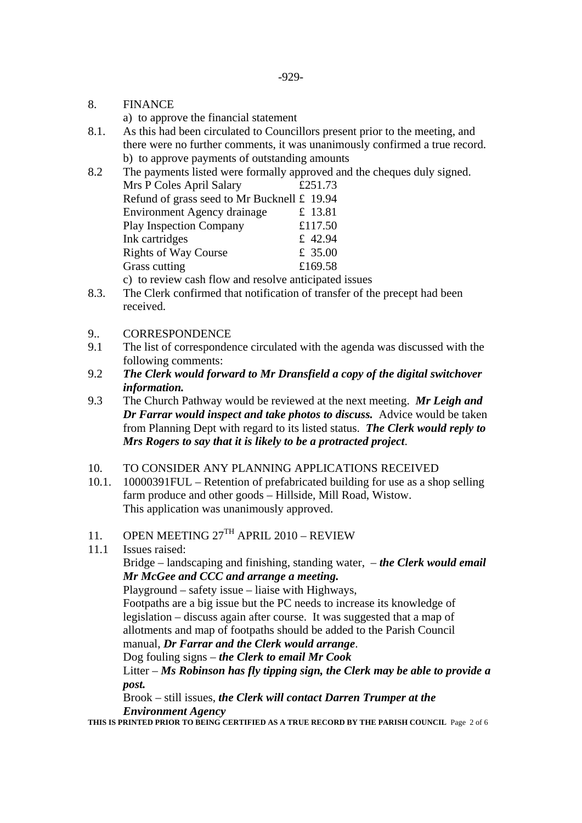8. FINANCE

a) to approve the financial statement

8.1. As this had been circulated to Councillors present prior to the meeting, and there were no further comments, it was unanimously confirmed a true record. b) to approve payments of outstanding amounts

8.2 The payments listed were formally approved and the cheques duly signed.

| Mrs P Coles April Salary                    | £251.73 |
|---------------------------------------------|---------|
| Refund of grass seed to Mr Bucknell £ 19.94 |         |
| <b>Environment Agency drainage</b>          | £ 13.81 |
| <b>Play Inspection Company</b>              | £117.50 |
| Ink cartridges                              | £ 42.94 |
| <b>Rights of Way Course</b>                 | £ 35.00 |
| Grass cutting                               | £169.58 |
|                                             |         |

c) to review cash flow and resolve anticipated issues

- 8.3. The Clerk confirmed that notification of transfer of the precept had been received.
- 9.. CORRESPONDENCE
- 9.1 The list of correspondence circulated with the agenda was discussed with the following comments:
- 9.2 *The Clerk would forward to Mr Dransfield a copy of the digital switchover information.*
- 9.3 The Church Pathway would be reviewed at the next meeting. *Mr Leigh and Dr Farrar would inspect and take photos to discuss.* Advice would be taken from Planning Dept with regard to its listed status. *The Clerk would reply to Mrs Rogers to say that it is likely to be a protracted project*.
- 10. TO CONSIDER ANY PLANNING APPLICATIONS RECEIVED
- 10.1. 10000391FUL Retention of prefabricated building for use as a shop selling farm produce and other goods – Hillside, Mill Road, Wistow. This application was unanimously approved.
- 11. OPEN MEETING  $27^{TH}$  APRIL  $2010$  REVIEW
- 11.1 Issues raised:

 Bridge – landscaping and finishing, standing water, – *the Clerk would email Mr McGee and CCC and arrange a meeting.* 

Playground – safety issue – liaise with Highways,

 Footpaths are a big issue but the PC needs to increase its knowledge of legislation – discuss again after course. It was suggested that a map of allotments and map of footpaths should be added to the Parish Council manual, *Dr Farrar and the Clerk would arrange*.

Dog fouling signs – *the Clerk to email Mr Cook*

 Litter – *Ms Robinson has fly tipping sign, the Clerk may be able to provide a post.* 

Brook – still issues, *the Clerk will contact Darren Trumper at the Environment Agency* 

**THIS IS PRINTED PRIOR TO BEING CERTIFIED AS A TRUE RECORD BY THE PARISH COUNCIL** Page 2 of 6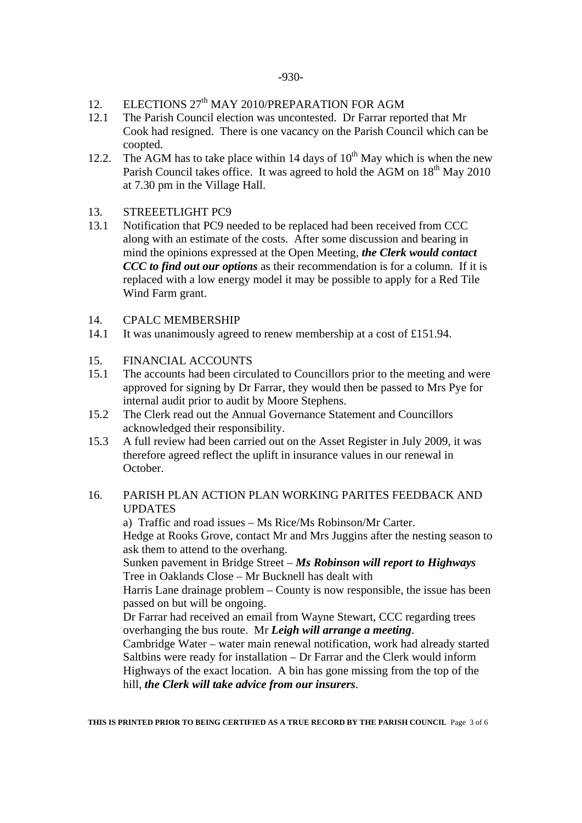- 12. ELECTIONS 27<sup>th</sup> MAY 2010/PREPARATION FOR AGM
- 12.1 The Parish Council election was uncontested. Dr Farrar reported that Mr Cook had resigned. There is one vacancy on the Parish Council which can be coopted.
- 12.2. The AGM has to take place within 14 days of  $10^{th}$  May which is when the new Parish Council takes office. It was agreed to hold the AGM on  $18<sup>th</sup>$  May 2010 at 7.30 pm in the Village Hall.
- 13. STREEETLIGHT PC9
- 13.1 Notification that PC9 needed to be replaced had been received from CCC along with an estimate of the costs. After some discussion and bearing in mind the opinions expressed at the Open Meeting, *the Clerk would contact CCC to find out our options* as their recommendation is for a column. If it is replaced with a low energy model it may be possible to apply for a Red Tile Wind Farm grant.
- 14. CPALC MEMBERSHIP
- 14.1 It was unanimously agreed to renew membership at a cost of £151.94.
- 15. FINANCIAL ACCOUNTS
- 15.1 The accounts had been circulated to Councillors prior to the meeting and were approved for signing by Dr Farrar, they would then be passed to Mrs Pye for internal audit prior to audit by Moore Stephens.
- 15.2 The Clerk read out the Annual Governance Statement and Councillors acknowledged their responsibility.
- 15.3 A full review had been carried out on the Asset Register in July 2009, it was therefore agreed reflect the uplift in insurance values in our renewal in October.

## 16. PARISH PLAN ACTION PLAN WORKING PARITES FEEDBACK AND UPDATES

 a) Traffic and road issues – Ms Rice/Ms Robinson/Mr Carter. Hedge at Rooks Grove, contact Mr and Mrs Juggins after the nesting season to ask them to attend to the overhang.

 Sunken pavement in Bridge Street – *Ms Robinson will report to Highways* Tree in Oaklands Close – Mr Bucknell has dealt with

 Harris Lane drainage problem – County is now responsible, the issue has been passed on but will be ongoing.

 Dr Farrar had received an email from Wayne Stewart, CCC regarding trees overhanging the bus route. Mr *Leigh will arrange a meeting*.

 Cambridge Water – water main renewal notification, work had already started Saltbins were ready for installation – Dr Farrar and the Clerk would inform Highways of the exact location. A bin has gone missing from the top of the hill, *the Clerk will take advice from our insurers*.

**THIS IS PRINTED PRIOR TO BEING CERTIFIED AS A TRUE RECORD BY THE PARISH COUNCIL** Page 3 of 6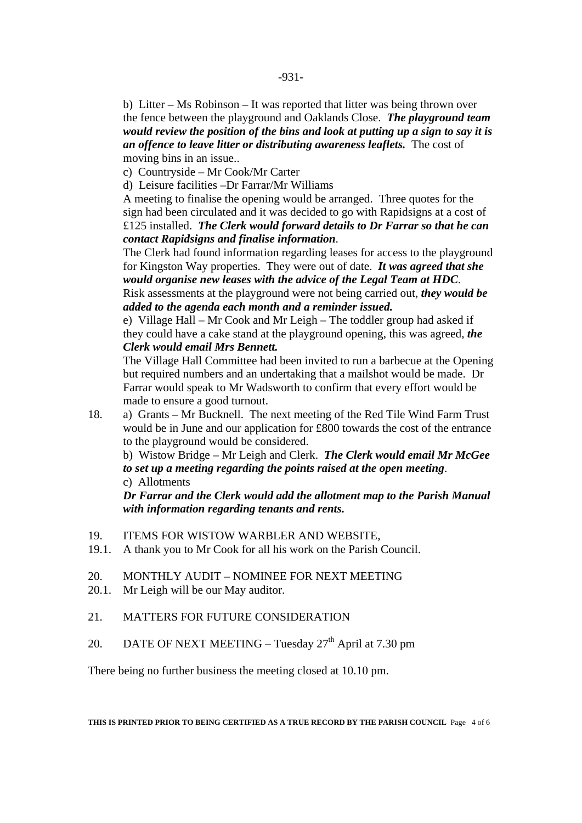b) Litter – Ms Robinson – It was reported that litter was being thrown over the fence between the playground and Oaklands Close. *The playground team would review the position of the bins and look at putting up a sign to say it is an offence to leave litter or distributing awareness leaflets.* The cost of moving bins in an issue..

c) Countryside – Mr Cook/Mr Carter

d) Leisure facilities –Dr Farrar/Mr Williams

A meeting to finalise the opening would be arranged. Three quotes for the sign had been circulated and it was decided to go with Rapidsigns at a cost of £125 installed. *The Clerk would forward details to Dr Farrar so that he can contact Rapidsigns and finalise information*.

The Clerk had found information regarding leases for access to the playground for Kingston Way properties. They were out of date. *It was agreed that she would organise new leases with the advice of the Legal Team at HDC*. Risk assessments at the playground were not being carried out, *they would be added to the agenda each month and a reminder issued.* 

e) Village Hall – Mr Cook and Mr Leigh – The toddler group had asked if they could have a cake stand at the playground opening, this was agreed, *the Clerk would email Mrs Bennett.* 

 The Village Hall Committee had been invited to run a barbecue at the Opening but required numbers and an undertaking that a mailshot would be made. Dr Farrar would speak to Mr Wadsworth to confirm that every effort would be made to ensure a good turnout.

18. a) Grants – Mr Bucknell. The next meeting of the Red Tile Wind Farm Trust would be in June and our application for £800 towards the cost of the entrance to the playground would be considered.

b) Wistow Bridge – Mr Leigh and Clerk. *The Clerk would email Mr McGee to set up a meeting regarding the points raised at the open meeting*. c) Allotments

*Dr Farrar and the Clerk would add the allotment map to the Parish Manual with information regarding tenants and rents.* 

- 19. ITEMS FOR WISTOW WARBLER AND WEBSITE,
- 19.1. A thank you to Mr Cook for all his work on the Parish Council.
- 20. MONTHLY AUDIT NOMINEE FOR NEXT MEETING
- 20.1. Mr Leigh will be our May auditor.
- 21. MATTERS FOR FUTURE CONSIDERATION
- 20. DATE OF NEXT MEETING Tuesday  $27<sup>th</sup>$  April at 7.30 pm

There being no further business the meeting closed at 10.10 pm.

**THIS IS PRINTED PRIOR TO BEING CERTIFIED AS A TRUE RECORD BY THE PARISH COUNCIL** Page 4 of 6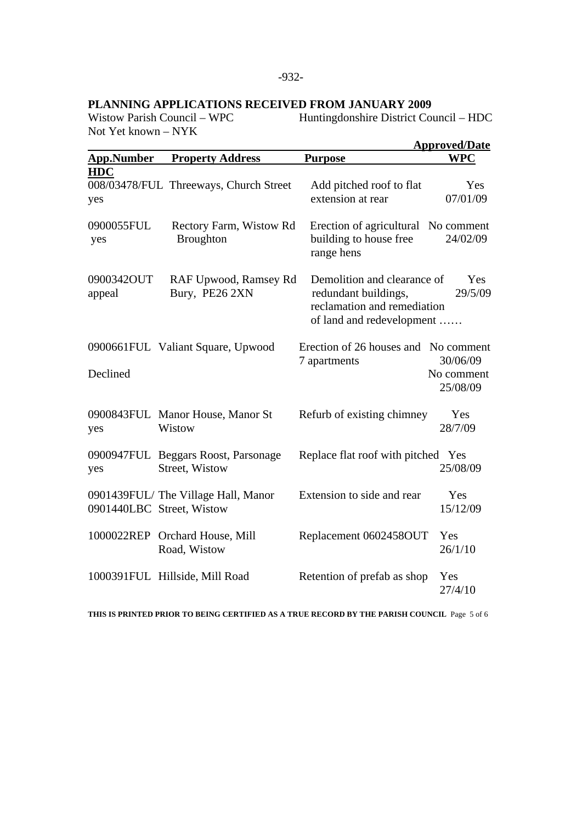# **PLANNING APPLICATIONS RECEIVED FROM JANUARY 2009**

Not Yet known – NYK

Huntingdonshire District Council – HDC

| <b>Approved/Date</b> |                                                                 |                                                                                                                 |                                    |  |  |
|----------------------|-----------------------------------------------------------------|-----------------------------------------------------------------------------------------------------------------|------------------------------------|--|--|
| <b>App.Number</b>    | <b>Property Address</b>                                         | <b>Purpose</b>                                                                                                  | <b>WPC</b>                         |  |  |
| <b>HDC</b><br>yes    | 008/03478/FUL Threeways, Church Street                          | Add pitched roof to flat<br>extension at rear                                                                   | Yes<br>07/01/09                    |  |  |
| 0900055FUL<br>yes    | Rectory Farm, Wistow Rd<br><b>Broughton</b>                     | Erection of agricultural No comment<br>building to house free<br>range hens                                     | 24/02/09                           |  |  |
| 0900342OUT<br>appeal | RAF Upwood, Ramsey Rd<br>Bury, PE26 2XN                         | Demolition and clearance of<br>redundant buildings,<br>reclamation and remediation<br>of land and redevelopment | Yes<br>29/5/09                     |  |  |
| Declined             | 0900661FUL Valiant Square, Upwood                               | Erection of 26 houses and No comment<br>7 apartments                                                            | 30/06/09<br>No comment<br>25/08/09 |  |  |
| yes                  | 0900843FUL Manor House, Manor St<br>Wistow                      | Refurb of existing chimney                                                                                      | Yes<br>28/7/09                     |  |  |
| yes                  | 0900947FUL Beggars Roost, Parsonage<br>Street, Wistow           | Replace flat roof with pitched Yes                                                                              | 25/08/09                           |  |  |
|                      | 0901439FUL/The Village Hall, Manor<br>0901440LBC Street, Wistow | Extension to side and rear                                                                                      | Yes<br>15/12/09                    |  |  |
|                      | 1000022REP Orchard House, Mill<br>Road, Wistow                  | Replacement 0602458OUT                                                                                          | Yes<br>26/1/10                     |  |  |
|                      | 1000391FUL Hillside, Mill Road                                  | Retention of prefab as shop                                                                                     | Yes<br>27/4/10                     |  |  |

**THIS IS PRINTED PRIOR TO BEING CERTIFIED AS A TRUE RECORD BY THE PARISH COUNCIL** Page 5 of 6